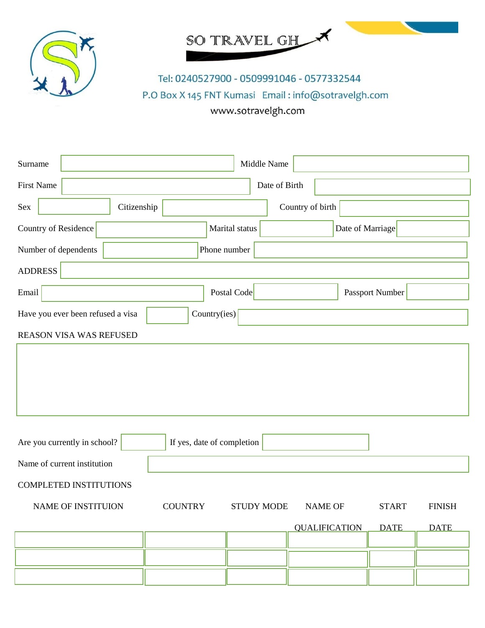



Tel: 0240527900 - 0509991046 - 0577332544 P.O Box X 145 FNT Kumasi Email: info@sotravelgh.com www.sotravelgh.com

| Surname                           |                            | Middle Name                         |                      |              |               |
|-----------------------------------|----------------------------|-------------------------------------|----------------------|--------------|---------------|
| <b>First Name</b>                 |                            | Date of Birth                       |                      |              |               |
| Citizenship<br>Sex                |                            | Country of birth                    |                      |              |               |
| Country of Residence              | Marital status             |                                     | Date of Marriage     |              |               |
| Number of dependents              | Phone number               |                                     |                      |              |               |
| <b>ADDRESS</b>                    |                            |                                     |                      |              |               |
| Email                             | Postal Code                |                                     | Passport Number      |              |               |
| Have you ever been refused a visa | Country(ies)               |                                     |                      |              |               |
| <b>REASON VISA WAS REFUSED</b>    |                            |                                     |                      |              |               |
|                                   |                            |                                     |                      |              |               |
|                                   |                            |                                     |                      |              |               |
|                                   |                            |                                     |                      |              |               |
|                                   |                            |                                     |                      |              |               |
| Are you currently in school?      | If yes, date of completion |                                     |                      |              |               |
| Name of current institution       |                            |                                     |                      |              |               |
| <b>COMPLETED INSTITUTIONS</b>     |                            |                                     |                      |              |               |
| <b>NAME OF INSTITUION</b>         | <b>COUNTRY</b>             | <b>STUDY MODE</b><br><b>NAME OF</b> |                      | <b>START</b> | <b>FINISH</b> |
|                                   |                            |                                     | <b>QUALIFICATION</b> | <b>DATE</b>  | <b>DATE</b>   |